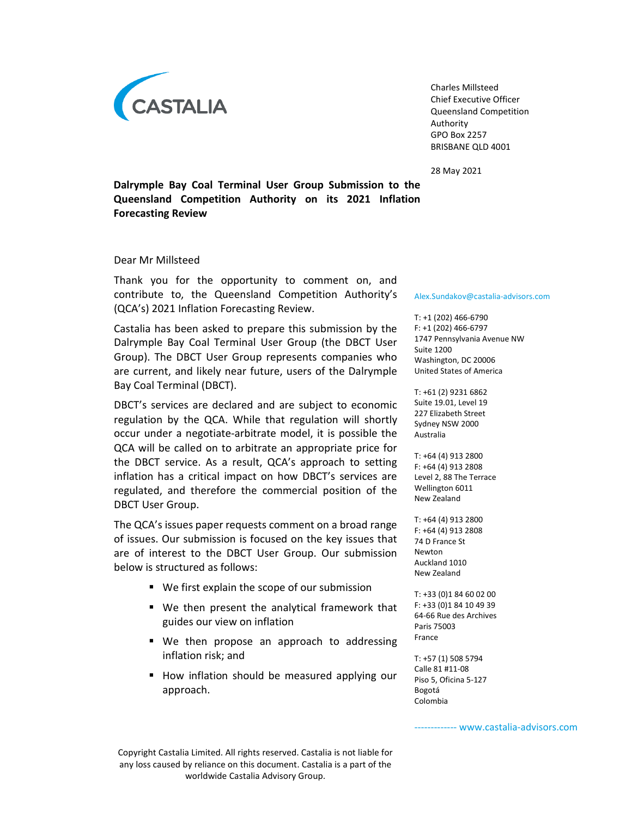

Charles Millsteed Chief Executive Officer Queensland Competition Authority GPO Box 2257 BRISBANE QLD 4001

28 May 2021

Dalrymple Bay Coal Terminal User Group Submission to the Queensland Competition Authority on its 2021 Inflation Forecasting Review

Dear Mr Millsteed

Thank you for the opportunity to comment on, and contribute to, the Queensland Competition Authority's (QCA's) 2021 Inflation Forecasting Review.

Castalia has been asked to prepare this submission by the Dalrymple Bay Coal Terminal User Group (the DBCT User Group). The DBCT User Group represents companies who are current, and likely near future, users of the Dalrymple Bay Coal Terminal (DBCT).

DBCT's services are declared and are subject to economic regulation by the QCA. While that regulation will shortly occur under a negotiate-arbitrate model, it is possible the QCA will be called on to arbitrate an appropriate price for the DBCT service. As a result, QCA's approach to setting inflation has a critical impact on how DBCT's services are regulated, and therefore the commercial position of the DBCT User Group.

The QCA's issues paper requests comment on a broad range of issues. Our submission is focused on the key issues that are of interest to the DBCT User Group. Our submission below is structured as follows:

- We first explain the scope of our submission
- We then present the analytical framework that guides our view on inflation
- We then propose an approach to addressing inflation risk; and
- **How inflation should be measured applying our** approach.

#### Alex.Sundakov@castalia-advisors.com

T: +1 (202) 466-6790 F: +1 (202) 466-6797 1747 Pennsylvania Avenue NW Suite 1200 Washington, DC 20006 United States of America

T: +61 (2) 9231 6862 Suite 19.01, Level 19 227 Elizabeth Street Sydney NSW 2000 Australia

T: +64 (4) 913 2800 F: +64 (4) 913 2808 Level 2, 88 The Terrace Wellington 6011 New Zealand

T: +64 (4) 913 2800 F: +64 (4) 913 2808 74 D France St Newton Auckland 1010 New Zealand

T: +33 (0)1 84 60 02 00 F: +33 (0)1 84 10 49 39 64-66 Rue des Archives Paris 75003 France

T: +57 (1) 508 5794 Calle 81 #11-08 Piso 5, Oficina 5-127 Bogotá Colombia

------ www.castalia-advisors.com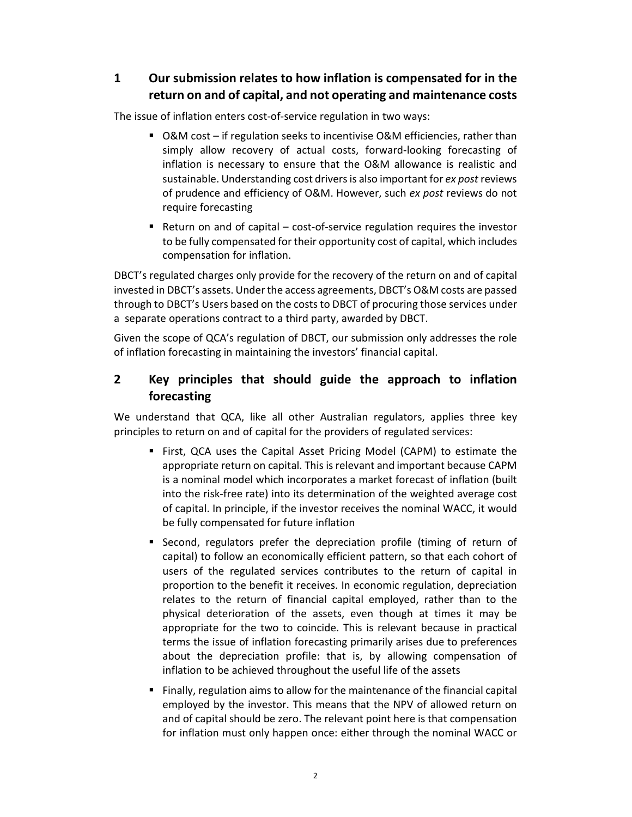## 1 Our submission relates to how inflation is compensated for in the return on and of capital, and not operating and maintenance costs

The issue of inflation enters cost-of-service regulation in two ways:

- O&M cost if regulation seeks to incentivise O&M efficiencies, rather than simply allow recovery of actual costs, forward-looking forecasting of inflation is necessary to ensure that the O&M allowance is realistic and sustainable. Understanding cost drivers is also important for ex post reviews of prudence and efficiency of O&M. However, such ex post reviews do not require forecasting
- Return on and of capital cost-of-service regulation requires the investor to be fully compensated for their opportunity cost of capital, which includes compensation for inflation.

DBCT's regulated charges only provide for the recovery of the return on and of capital invested in DBCT's assets. Under the access agreements, DBCT's O&M costs are passed through to DBCT's Users based on the costs to DBCT of procuring those services under a separate operations contract to a third party, awarded by DBCT.

Given the scope of QCA's regulation of DBCT, our submission only addresses the role of inflation forecasting in maintaining the investors' financial capital.

# 2 Key principles that should guide the approach to inflation forecasting

We understand that QCA, like all other Australian regulators, applies three key principles to return on and of capital for the providers of regulated services:

- First, QCA uses the Capital Asset Pricing Model (CAPM) to estimate the appropriate return on capital. This is relevant and important because CAPM is a nominal model which incorporates a market forecast of inflation (built into the risk-free rate) into its determination of the weighted average cost of capital. In principle, if the investor receives the nominal WACC, it would be fully compensated for future inflation
- Second, regulators prefer the depreciation profile (timing of return of capital) to follow an economically efficient pattern, so that each cohort of users of the regulated services contributes to the return of capital in proportion to the benefit it receives. In economic regulation, depreciation relates to the return of financial capital employed, rather than to the physical deterioration of the assets, even though at times it may be appropriate for the two to coincide. This is relevant because in practical terms the issue of inflation forecasting primarily arises due to preferences about the depreciation profile: that is, by allowing compensation of inflation to be achieved throughout the useful life of the assets
- Finally, regulation aims to allow for the maintenance of the financial capital employed by the investor. This means that the NPV of allowed return on and of capital should be zero. The relevant point here is that compensation for inflation must only happen once: either through the nominal WACC or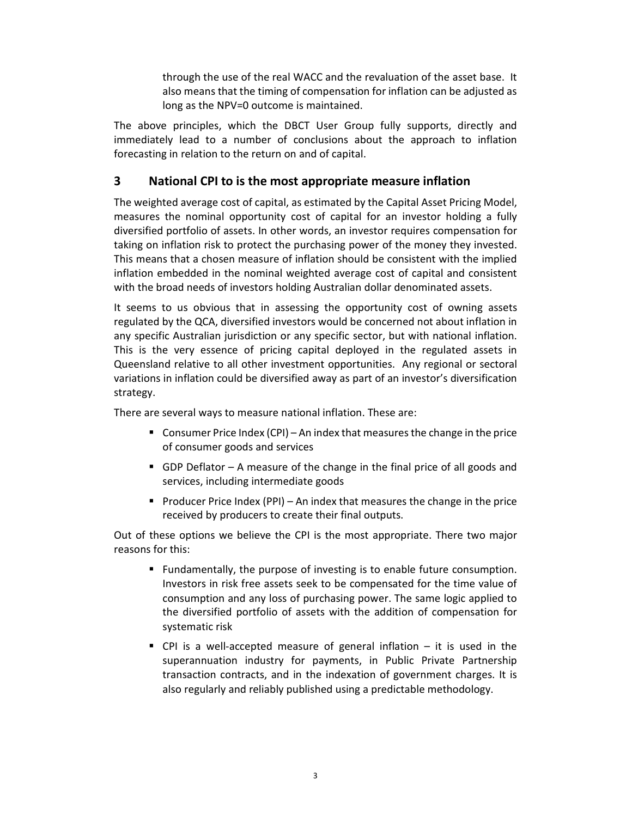through the use of the real WACC and the revaluation of the asset base. It also means that the timing of compensation for inflation can be adjusted as long as the NPV=0 outcome is maintained.

The above principles, which the DBCT User Group fully supports, directly and immediately lead to a number of conclusions about the approach to inflation forecasting in relation to the return on and of capital.

### 3 National CPI to is the most appropriate measure inflation

The weighted average cost of capital, as estimated by the Capital Asset Pricing Model, measures the nominal opportunity cost of capital for an investor holding a fully diversified portfolio of assets. In other words, an investor requires compensation for taking on inflation risk to protect the purchasing power of the money they invested. This means that a chosen measure of inflation should be consistent with the implied inflation embedded in the nominal weighted average cost of capital and consistent with the broad needs of investors holding Australian dollar denominated assets.

It seems to us obvious that in assessing the opportunity cost of owning assets regulated by the QCA, diversified investors would be concerned not about inflation in any specific Australian jurisdiction or any specific sector, but with national inflation. This is the very essence of pricing capital deployed in the regulated assets in Queensland relative to all other investment opportunities. Any regional or sectoral variations in inflation could be diversified away as part of an investor's diversification strategy.

There are several ways to measure national inflation. These are:

- Consumer Price Index  $(CPI)$  An index that measures the change in the price of consumer goods and services
- GDP Deflator  $-$  A measure of the change in the final price of all goods and services, including intermediate goods
- Producer Price Index (PPI) An index that measures the change in the price received by producers to create their final outputs.

Out of these options we believe the CPI is the most appropriate. There two major reasons for this:

- Fundamentally, the purpose of investing is to enable future consumption. Investors in risk free assets seek to be compensated for the time value of consumption and any loss of purchasing power. The same logic applied to the diversified portfolio of assets with the addition of compensation for systematic risk
- $\blacksquare$  CPI is a well-accepted measure of general inflation  $-$  it is used in the superannuation industry for payments, in Public Private Partnership transaction contracts, and in the indexation of government charges. It is also regularly and reliably published using a predictable methodology.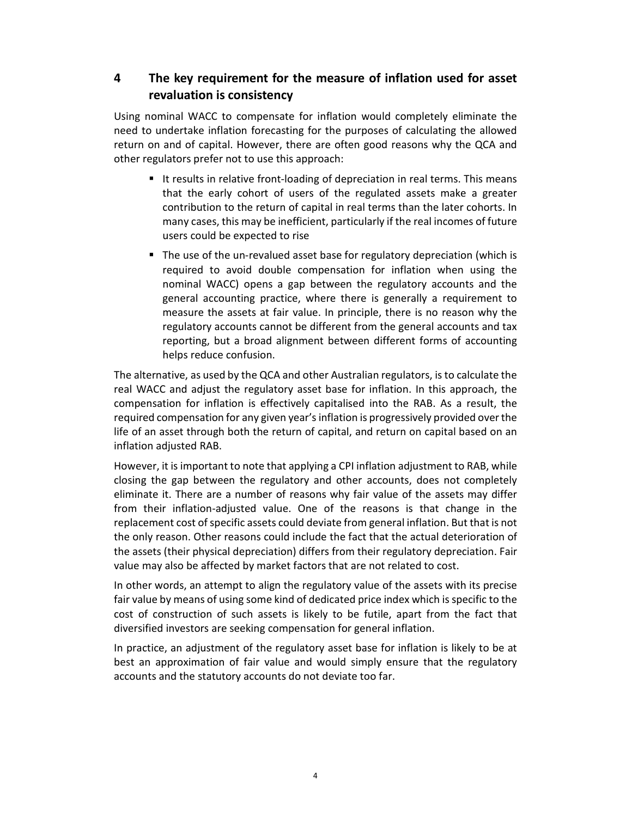# 4 The key requirement for the measure of inflation used for asset revaluation is consistency

Using nominal WACC to compensate for inflation would completely eliminate the need to undertake inflation forecasting for the purposes of calculating the allowed return on and of capital. However, there are often good reasons why the QCA and other regulators prefer not to use this approach:

- It results in relative front-loading of depreciation in real terms. This means that the early cohort of users of the regulated assets make a greater contribution to the return of capital in real terms than the later cohorts. In many cases, this may be inefficient, particularly if the real incomes of future users could be expected to rise
- The use of the un-revalued asset base for regulatory depreciation (which is required to avoid double compensation for inflation when using the nominal WACC) opens a gap between the regulatory accounts and the general accounting practice, where there is generally a requirement to measure the assets at fair value. In principle, there is no reason why the regulatory accounts cannot be different from the general accounts and tax reporting, but a broad alignment between different forms of accounting helps reduce confusion.

The alternative, as used by the QCA and other Australian regulators, is to calculate the real WACC and adjust the regulatory asset base for inflation. In this approach, the compensation for inflation is effectively capitalised into the RAB. As a result, the required compensation for any given year's inflation is progressively provided over the life of an asset through both the return of capital, and return on capital based on an inflation adjusted RAB.

However, it is important to note that applying a CPI inflation adjustment to RAB, while closing the gap between the regulatory and other accounts, does not completely eliminate it. There are a number of reasons why fair value of the assets may differ from their inflation-adjusted value. One of the reasons is that change in the replacement cost of specific assets could deviate from general inflation. But that is not the only reason. Other reasons could include the fact that the actual deterioration of the assets (their physical depreciation) differs from their regulatory depreciation. Fair value may also be affected by market factors that are not related to cost.

In other words, an attempt to align the regulatory value of the assets with its precise fair value by means of using some kind of dedicated price index which is specific to the cost of construction of such assets is likely to be futile, apart from the fact that diversified investors are seeking compensation for general inflation.

In practice, an adjustment of the regulatory asset base for inflation is likely to be at best an approximation of fair value and would simply ensure that the regulatory accounts and the statutory accounts do not deviate too far.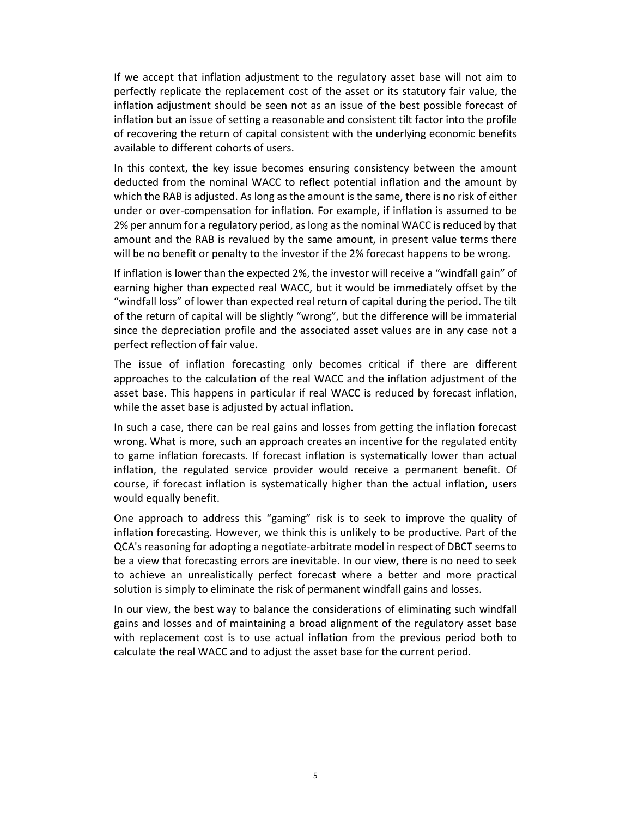If we accept that inflation adjustment to the regulatory asset base will not aim to perfectly replicate the replacement cost of the asset or its statutory fair value, the inflation adjustment should be seen not as an issue of the best possible forecast of inflation but an issue of setting a reasonable and consistent tilt factor into the profile of recovering the return of capital consistent with the underlying economic benefits available to different cohorts of users.

In this context, the key issue becomes ensuring consistency between the amount deducted from the nominal WACC to reflect potential inflation and the amount by which the RAB is adjusted. As long as the amount is the same, there is no risk of either under or over-compensation for inflation. For example, if inflation is assumed to be 2% per annum for a regulatory period, as long as the nominal WACC is reduced by that amount and the RAB is revalued by the same amount, in present value terms there will be no benefit or penalty to the investor if the 2% forecast happens to be wrong.

If inflation is lower than the expected 2%, the investor will receive a "windfall gain" of earning higher than expected real WACC, but it would be immediately offset by the "windfall loss" of lower than expected real return of capital during the period. The tilt of the return of capital will be slightly "wrong", but the difference will be immaterial since the depreciation profile and the associated asset values are in any case not a perfect reflection of fair value.

The issue of inflation forecasting only becomes critical if there are different approaches to the calculation of the real WACC and the inflation adjustment of the asset base. This happens in particular if real WACC is reduced by forecast inflation, while the asset base is adjusted by actual inflation.

In such a case, there can be real gains and losses from getting the inflation forecast wrong. What is more, such an approach creates an incentive for the regulated entity to game inflation forecasts. If forecast inflation is systematically lower than actual inflation, the regulated service provider would receive a permanent benefit. Of course, if forecast inflation is systematically higher than the actual inflation, users would equally benefit.

One approach to address this "gaming" risk is to seek to improve the quality of inflation forecasting. However, we think this is unlikely to be productive. Part of the QCA's reasoning for adopting a negotiate-arbitrate model in respect of DBCT seems to be a view that forecasting errors are inevitable. In our view, there is no need to seek to achieve an unrealistically perfect forecast where a better and more practical solution is simply to eliminate the risk of permanent windfall gains and losses.

In our view, the best way to balance the considerations of eliminating such windfall gains and losses and of maintaining a broad alignment of the regulatory asset base with replacement cost is to use actual inflation from the previous period both to calculate the real WACC and to adjust the asset base for the current period.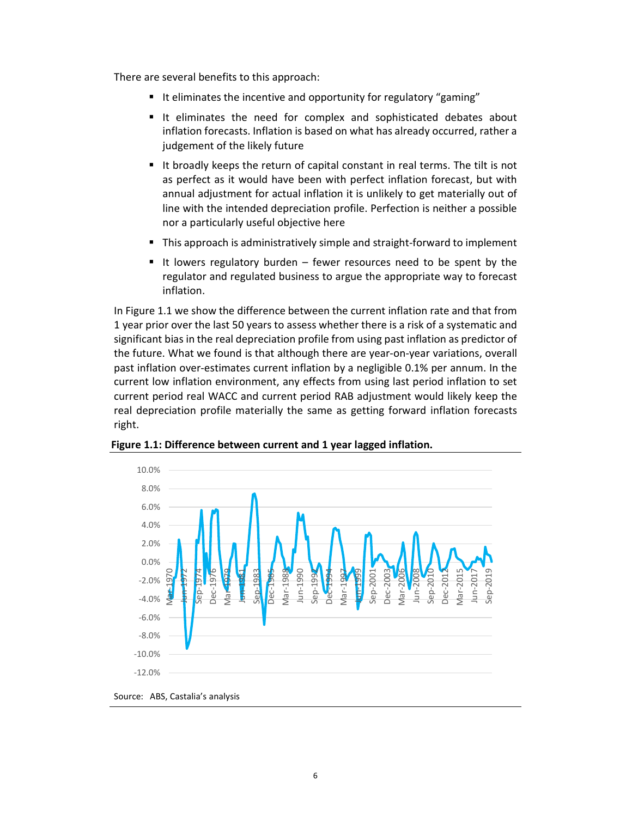There are several benefits to this approach:

- It eliminates the incentive and opportunity for regulatory "gaming"
- It eliminates the need for complex and sophisticated debates about inflation forecasts. Inflation is based on what has already occurred, rather a judgement of the likely future
- It broadly keeps the return of capital constant in real terms. The tilt is not as perfect as it would have been with perfect inflation forecast, but with annual adjustment for actual inflation it is unlikely to get materially out of line with the intended depreciation profile. Perfection is neither a possible nor a particularly useful objective here
- This approach is administratively simple and straight-forward to implement
- It lowers regulatory burden  $-$  fewer resources need to be spent by the regulator and regulated business to argue the appropriate way to forecast inflation.

In Figure 1.1 we show the difference between the current inflation rate and that from 1 year prior over the last 50 years to assess whether there is a risk of a systematic and significant bias in the real depreciation profile from using past inflation as predictor of the future. What we found is that although there are year-on-year variations, overall past inflation over-estimates current inflation by a negligible 0.1% per annum. In the current low inflation environment, any effects from using last period inflation to set current period real WACC and current period RAB adjustment would likely keep the real depreciation profile materially the same as getting forward inflation forecasts right.



Figure 1.1: Difference between current and 1 year lagged inflation.